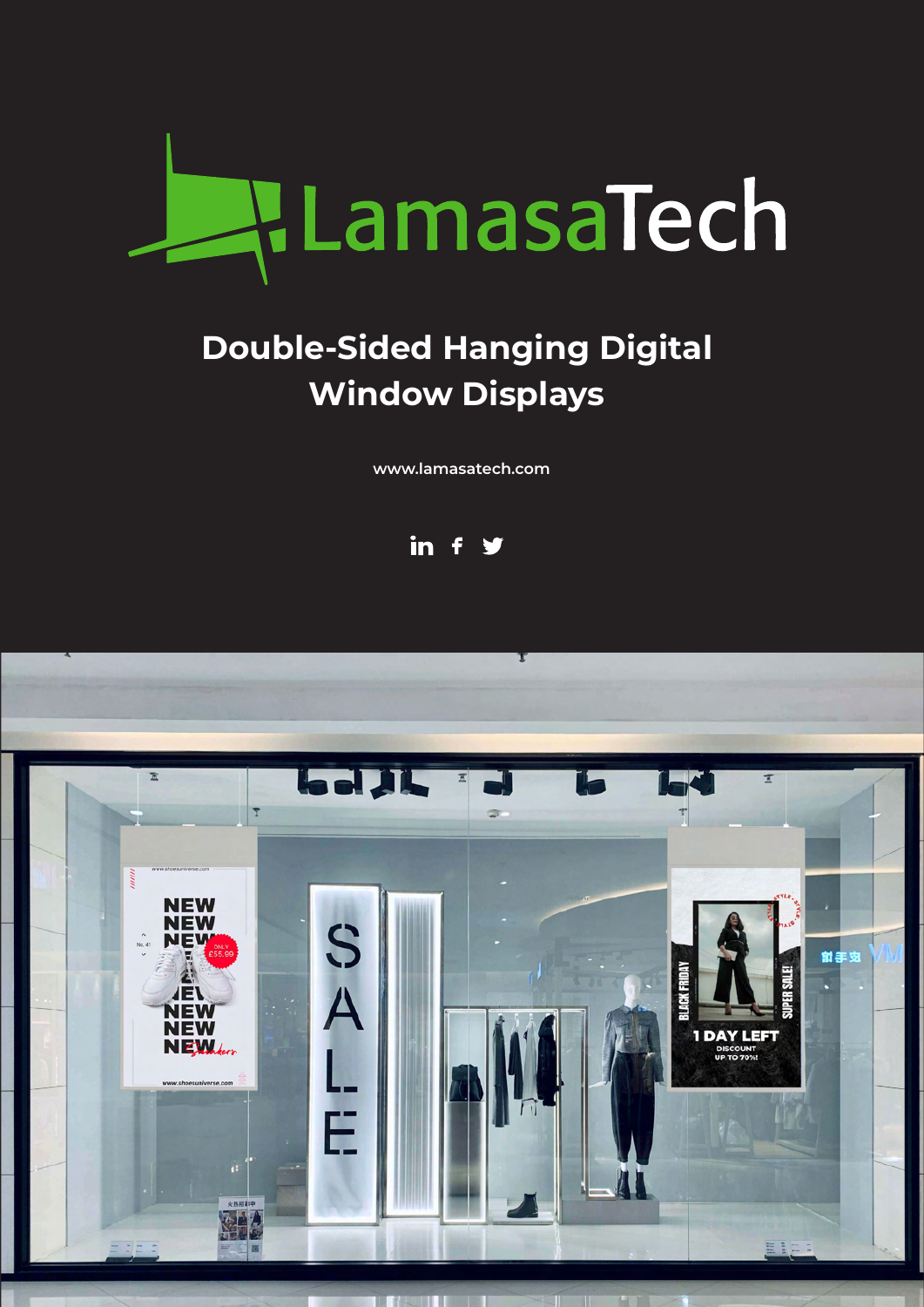

# **Double-Sided Hanging Digital Window Displays**

**[www.lamasatech.com](http://www.lamasatech.com/?utm_source=print&utm_medium=spec_sheet&utm_campaign=muro_window)**



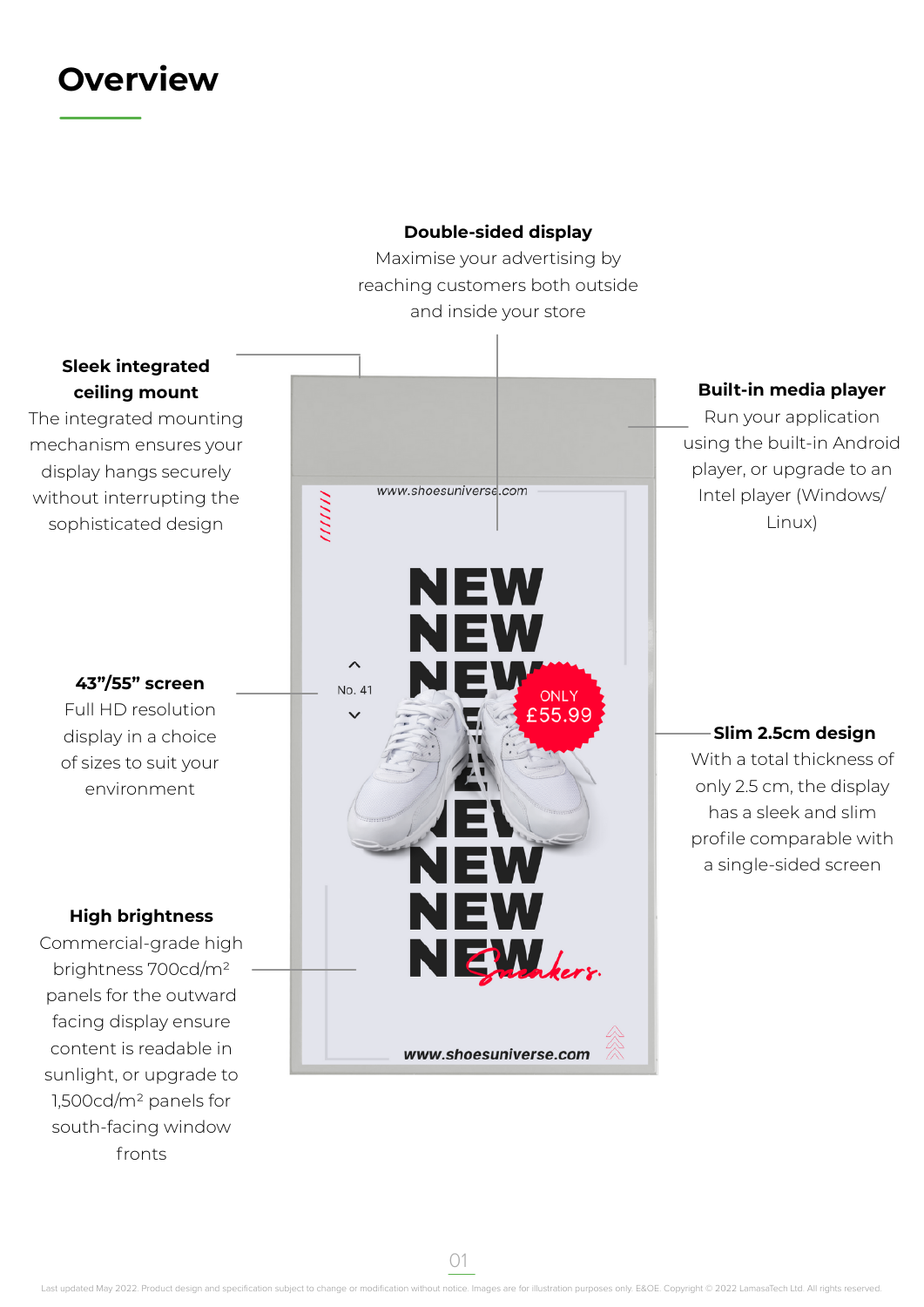### **Overview**



01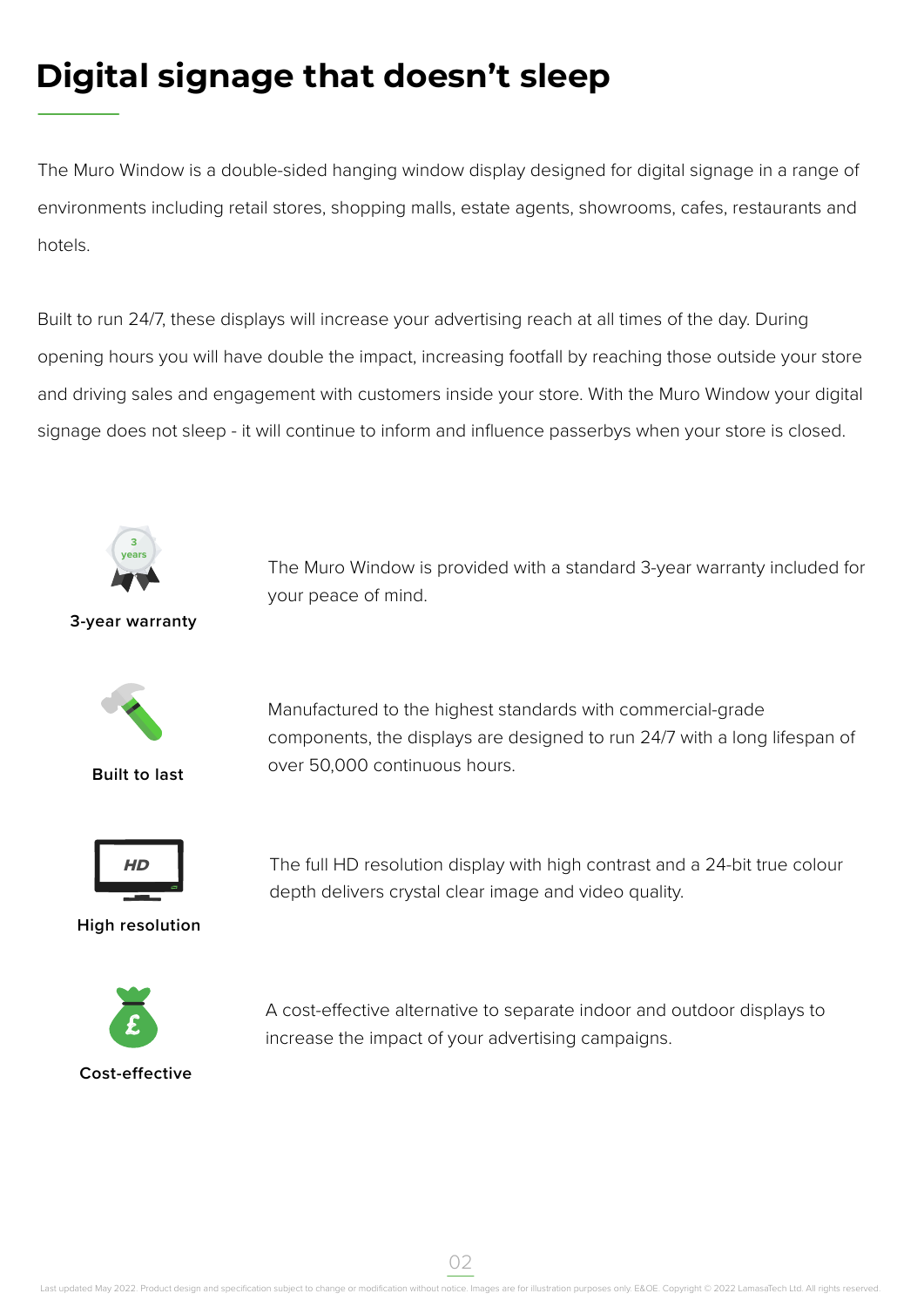# **Digital signage that doesn't sleep**

The Muro Window is a double-sided hanging window display designed for digital signage in a range of environments including retail stores, shopping malls, estate agents, showrooms, cafes, restaurants and hotels.

Built to run 24/7, these displays will increase your advertising reach at all times of the day. During opening hours you will have double the impact, increasing footfall by reaching those outside your store and driving sales and engagement with customers inside your store. With the Muro Window your digital signage does not sleep - it will continue to inform and influence passerbys when your store is closed.



The Muro Window is provided with a standard 3-year warranty included for your peace of mind.

**3-year warranty**



**Built to last**

Manufactured to the highest standards with commercial-grade components, the displays are designed to run 24/7 with a long lifespan of over 50,000 continuous hours.



**High resolution**

The full HD resolution display with high contrast and a 24-bit true colour depth delivers crystal clear image and video quality.



A cost-effective alternative to separate indoor and outdoor displays to increase the impact of your advertising campaigns.

02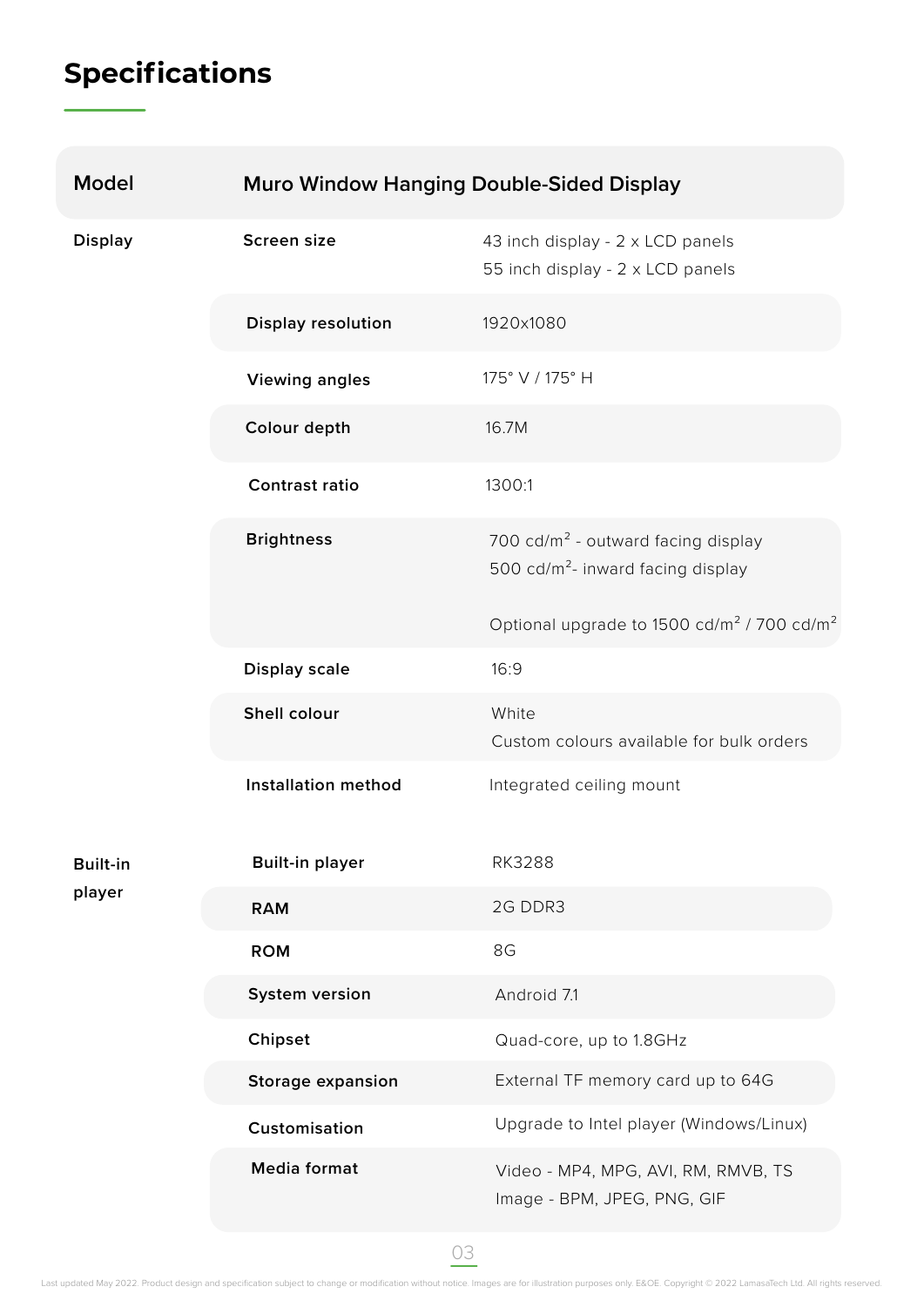# **Specifications**

| <b>Model</b>              | <b>Muro Window Hanging Double-Sided Display</b> |                                                                                                 |
|---------------------------|-------------------------------------------------|-------------------------------------------------------------------------------------------------|
| <b>Display</b>            | Screen size                                     | 43 inch display - 2 x LCD panels<br>55 inch display - 2 x LCD panels                            |
|                           | <b>Display resolution</b>                       | 1920×1080                                                                                       |
|                           | <b>Viewing angles</b>                           | 175° V / 175° H                                                                                 |
|                           | Colour depth                                    | 16.7M                                                                                           |
|                           | <b>Contrast ratio</b>                           | 1300:1                                                                                          |
|                           | <b>Brightness</b>                               | 700 cd/m <sup>2</sup> - outward facing display<br>500 cd/m <sup>2</sup> - inward facing display |
|                           |                                                 | Optional upgrade to 1500 cd/m <sup>2</sup> / 700 cd/m <sup>2</sup>                              |
|                           | <b>Display scale</b>                            | 16:9                                                                                            |
|                           | Shell colour                                    | White<br>Custom colours available for bulk orders                                               |
|                           | <b>Installation method</b>                      | Integrated ceiling mount                                                                        |
| <b>Built-in</b><br>player | <b>Built-in player</b>                          | <b>RK3288</b>                                                                                   |
|                           | <b>RAM</b>                                      | 2G DDR3                                                                                         |
|                           | <b>ROM</b>                                      | 8G                                                                                              |
|                           | System version                                  | Android 7.1                                                                                     |
|                           | Chipset                                         | Quad-core, up to 1.8GHz                                                                         |
|                           | <b>Storage expansion</b>                        | External TF memory card up to 64G                                                               |
|                           | Customisation                                   | Upgrade to Intel player (Windows/Linux)                                                         |
|                           | <b>Media format</b>                             | Video - MP4, MPG, AVI, RM, RMVB, TS<br>Image - BPM, JPEG, PNG, GIF                              |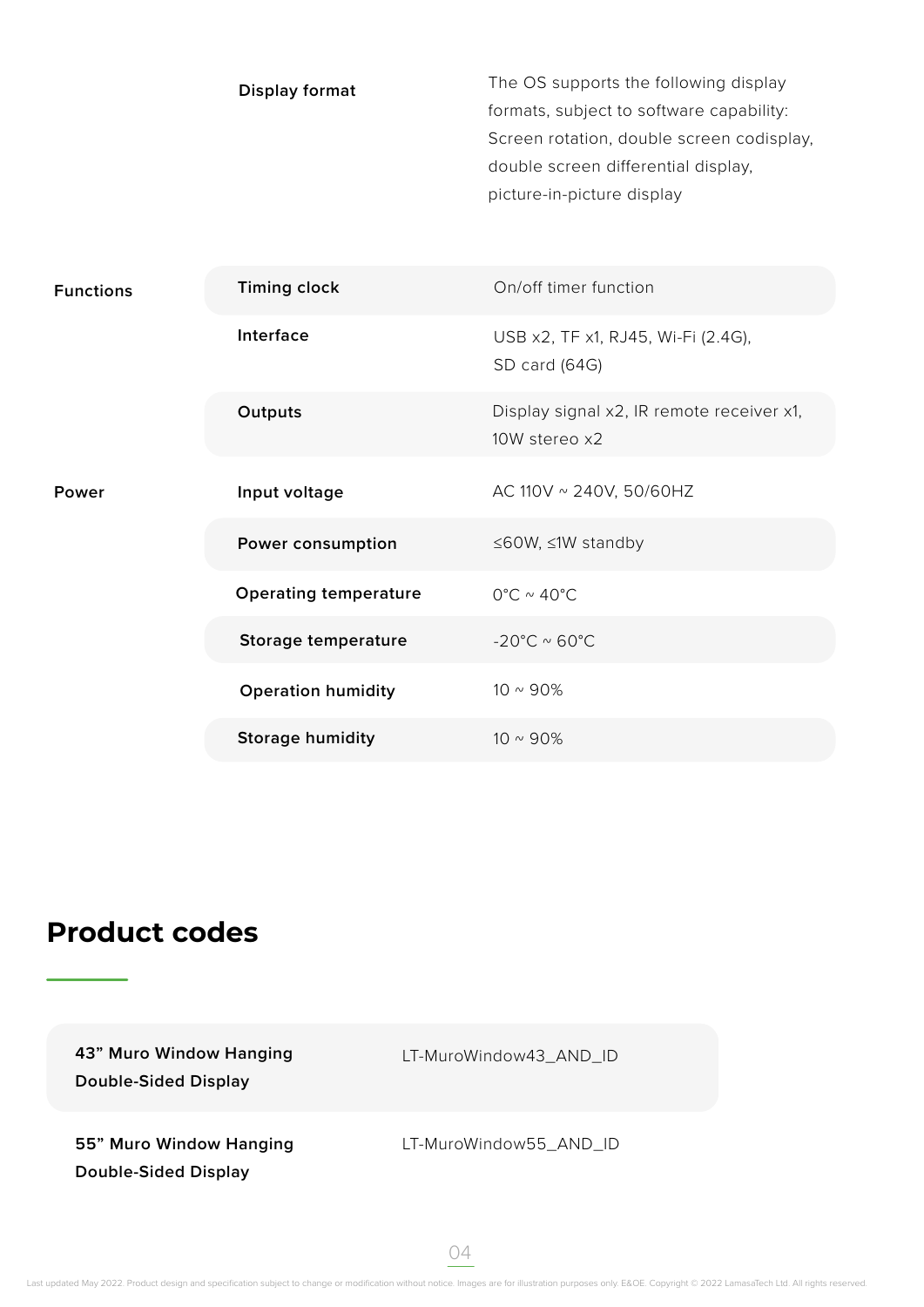|                  | <b>Display format</b>        | The OS supports the following display<br>formats, subject to software capability:<br>Screen rotation, double screen codisplay,<br>double screen differential display,<br>picture-in-picture display |
|------------------|------------------------------|-----------------------------------------------------------------------------------------------------------------------------------------------------------------------------------------------------|
| <b>Functions</b> | <b>Timing clock</b>          | On/off timer function                                                                                                                                                                               |
|                  | Interface                    | USB x2, TF x1, RJ45, Wi-Fi (2.4G),<br>SD card (64G)                                                                                                                                                 |
|                  | Outputs                      | Display signal x2, IR remote receiver x1,<br>10W stereo x2                                                                                                                                          |
| Power            | Input voltage                | AC 110V ~ 240V, 50/60HZ                                                                                                                                                                             |
|                  | Power consumption            | ≤60W, ≤1W standby                                                                                                                                                                                   |
|                  | <b>Operating temperature</b> | $0^{\circ}$ C ~ 40 $^{\circ}$ C                                                                                                                                                                     |
|                  | Storage temperature          | -20°C $\sim$ 60°C                                                                                                                                                                                   |
|                  | <b>Operation humidity</b>    | $10 \sim 90\%$                                                                                                                                                                                      |
|                  | <b>Storage humidity</b>      | $10 \sim 90\%$                                                                                                                                                                                      |

#### **Product codes**

**43" Muro Window Hanging** LT-MuroWindow43\_AND\_ID **Double-Sided Display 55" Muro Window Hanging Double-Sided Display** LT-MuroWindow55\_AND\_ID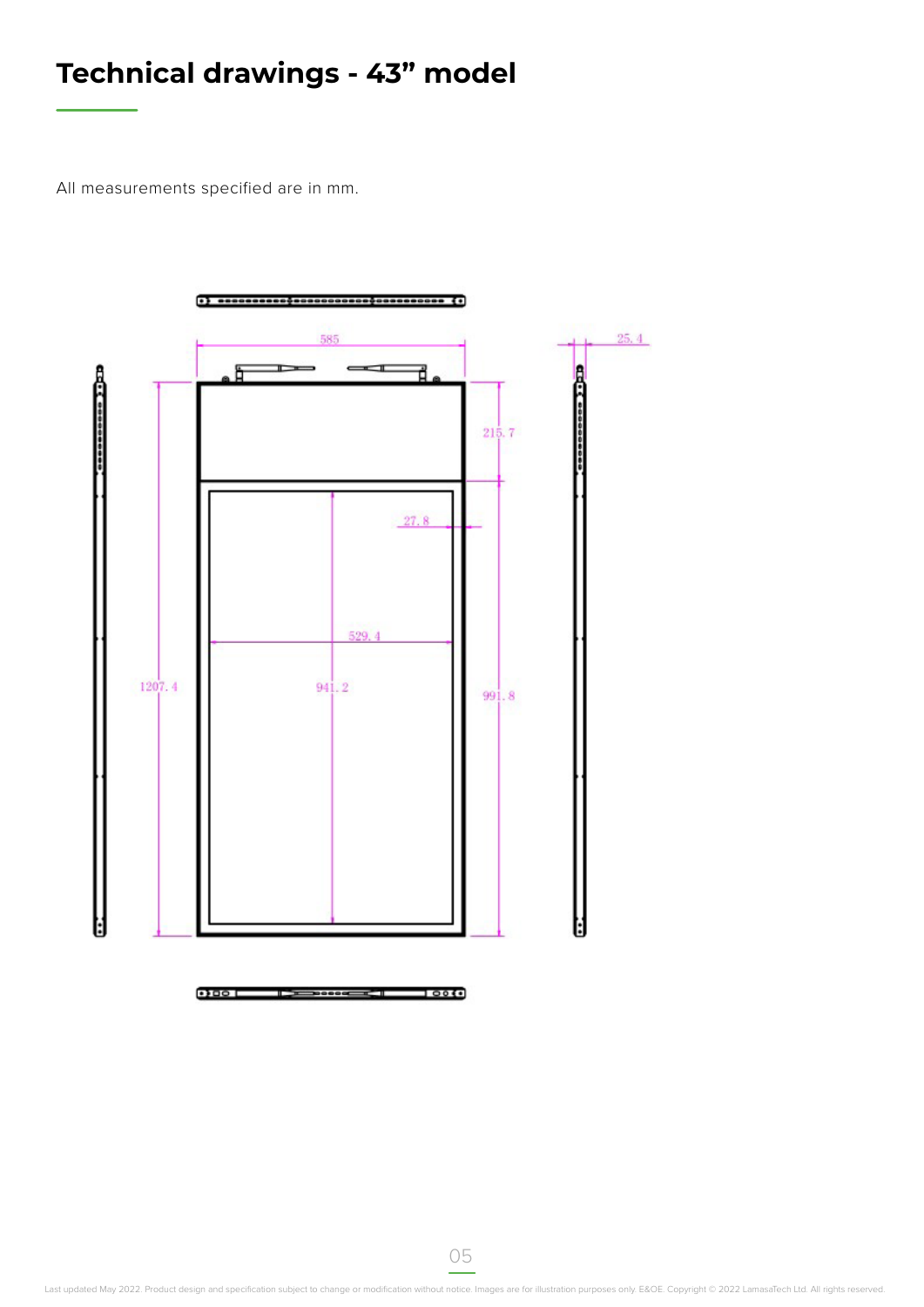## **Technical drawings - 43" model**

All measurements specified are in mm.

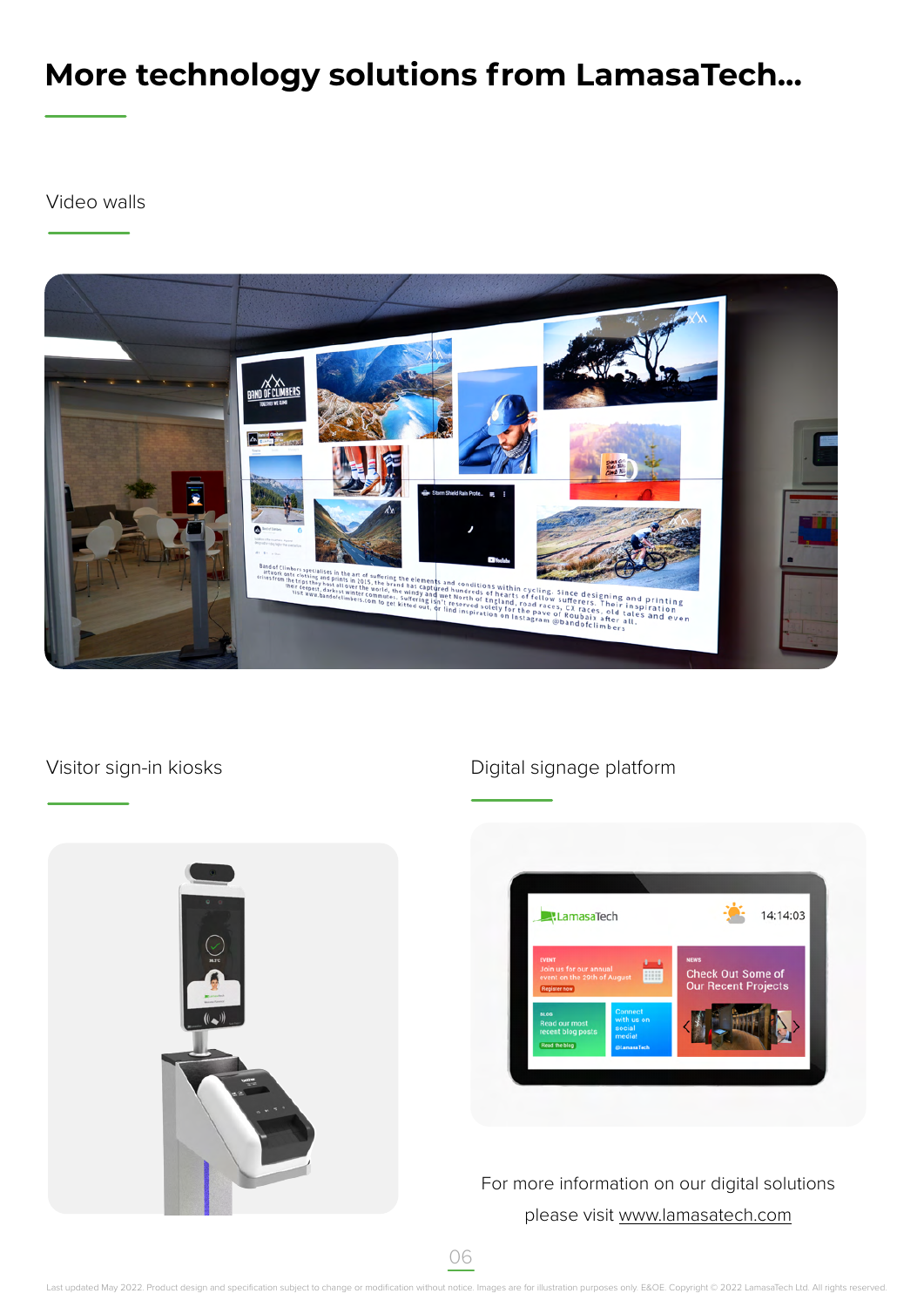## **More technology solutions from LamasaTech...**

Video walls



#### Visitor sign-in kiosks



#### Digital signage platform



For more information on our digital solutions please visit [www.lamasatech.com](http://www.lamasatech.com/?utm_source=print&utm_medium=spec_sheet&utm_campaign=muro_window)

06